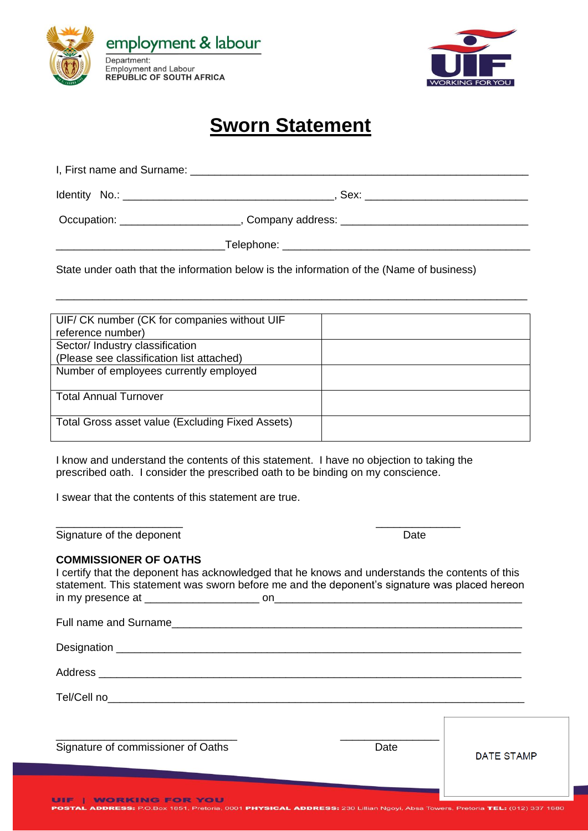



## **Sworn Statement**

| Occupation: <u>___________________</u> |            |
|----------------------------------------|------------|
|                                        | Telephone: |

State under oath that the information below is the information of the (Name of business)

| UIF/ CK number (CK for companies without UIF     |  |
|--------------------------------------------------|--|
| reference number)                                |  |
| Sector/ Industry classification                  |  |
| (Please see classification list attached)        |  |
| Number of employees currently employed           |  |
|                                                  |  |
| <b>Total Annual Turnover</b>                     |  |
|                                                  |  |
| Total Gross asset value (Excluding Fixed Assets) |  |
|                                                  |  |

\_\_\_\_\_\_\_\_\_\_\_\_\_\_\_\_\_\_\_\_\_\_\_\_\_\_\_\_\_\_\_\_\_\_\_\_\_\_\_\_\_\_\_\_\_\_\_\_\_\_\_\_\_\_\_\_\_\_\_\_\_\_\_\_\_\_\_\_\_\_\_\_\_\_\_\_\_\_

I know and understand the contents of this statement. I have no objection to taking the prescribed oath. I consider the prescribed oath to be binding on my conscience.

\_\_\_\_\_\_\_\_\_\_\_\_\_\_\_\_\_\_\_\_\_ \_\_\_\_\_\_\_\_\_\_\_\_\_\_

I swear that the contents of this statement are true.

Signature of the deponent **Date** 

## **COMMISSIONER OF OATHS**

I certify that the deponent has acknowledged that he knows and understands the contents of this statement. This statement was sworn before me and the deponent's signature was placed hereon in my presence at example and the set on  $\sim$ 

| Tel/Cell no the contract of the contract of the contract of the contract of the contract of the contract of the contract of the contract of the contract of the contract of the contract of the contract of the contract of th |      |                   |
|--------------------------------------------------------------------------------------------------------------------------------------------------------------------------------------------------------------------------------|------|-------------------|
|                                                                                                                                                                                                                                |      |                   |
| Signature of commissioner of Oaths                                                                                                                                                                                             | Date | <b>DATE STAMP</b> |
|                                                                                                                                                                                                                                |      |                   |